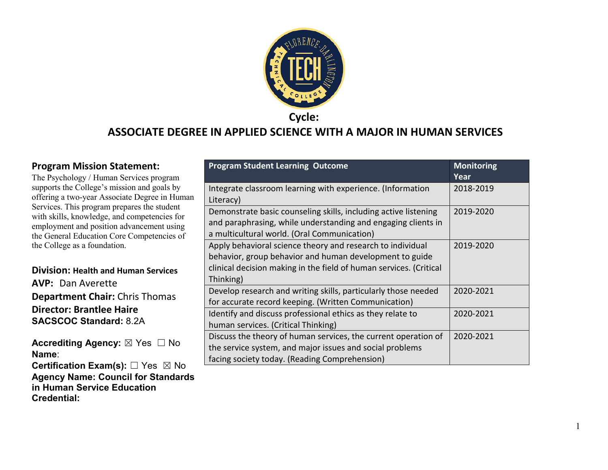

### **ASSOCIATE DEGREE IN APPLIED SCIENCE WITH A MAJOR IN HUMAN SERVICES**

#### **Program Mission Statement:**

The Psychology / Human Services program supports the College's mission and goals by offering a two-year Associate Degree in Human Services. This program prepares the student with skills, knowledge, and competencies for employment and position advancement using the General Education Core Competencies of the College as a foundation.

#### **Division: Health and Human Services**

**AVP:** Dan Averette **Department Chair:** Chris Thomas **Director: Brantlee Haire SACSCOC Standard:** 8.2A

**Accrediting Agency: ⊠ Yes □ No Name**:

**Certification Exam(s):** □ Yes ⊠ No **Agency Name: Council for Standards in Human Service Education Credential:**

| <b>Program Student Learning Outcome</b>                                                                                                                                                                  | <b>Monitoring</b><br>Year |
|----------------------------------------------------------------------------------------------------------------------------------------------------------------------------------------------------------|---------------------------|
| Integrate classroom learning with experience. (Information<br>Literacy)                                                                                                                                  | 2018-2019                 |
| Demonstrate basic counseling skills, including active listening<br>and paraphrasing, while understanding and engaging clients in<br>a multicultural world. (Oral Communication)                          | 2019-2020                 |
| Apply behavioral science theory and research to individual<br>behavior, group behavior and human development to guide<br>clinical decision making in the field of human services. (Critical<br>Thinking) | 2019-2020                 |
| Develop research and writing skills, particularly those needed<br>for accurate record keeping. (Written Communication)                                                                                   | 2020-2021                 |
| Identify and discuss professional ethics as they relate to<br>human services. (Critical Thinking)                                                                                                        | 2020-2021                 |
| Discuss the theory of human services, the current operation of<br>the service system, and major issues and social problems<br>facing society today. (Reading Comprehension)                              | 2020-2021                 |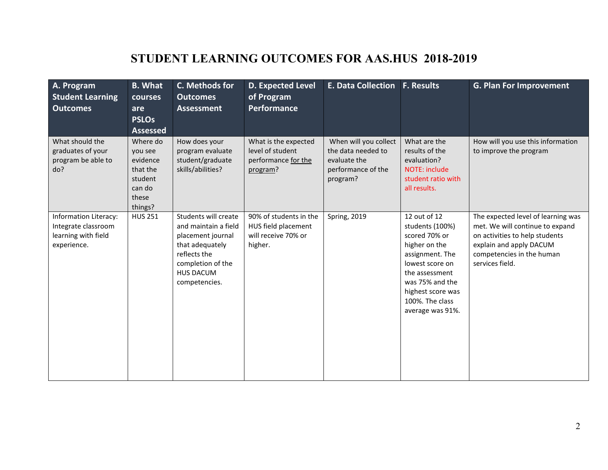# **STUDENT LEARNING OUTCOMES FOR AAS.HUS 2018-2019**

| A. Program<br><b>Student Learning</b><br><b>Outcomes</b>                           | <b>B.</b> What<br>courses<br>are<br><b>PSLOs</b><br><b>Assessed</b>                  | C. Methods for<br><b>Outcomes</b><br><b>Assessment</b>                                                                                                         | <b>D. Expected Level</b><br>of Program<br>Performance                           | <b>E. Data Collection</b>                                                                     | <b>F. Results</b>                                                                                                                                                                                        | <b>G. Plan For Improvement</b>                                                                                                                                                     |
|------------------------------------------------------------------------------------|--------------------------------------------------------------------------------------|----------------------------------------------------------------------------------------------------------------------------------------------------------------|---------------------------------------------------------------------------------|-----------------------------------------------------------------------------------------------|----------------------------------------------------------------------------------------------------------------------------------------------------------------------------------------------------------|------------------------------------------------------------------------------------------------------------------------------------------------------------------------------------|
| What should the<br>graduates of your<br>program be able to<br>do?                  | Where do<br>you see<br>evidence<br>that the<br>student<br>can do<br>these<br>things? | How does your<br>program evaluate<br>student/graduate<br>skills/abilities?                                                                                     | What is the expected<br>level of student<br>performance for the<br>program?     | When will you collect<br>the data needed to<br>evaluate the<br>performance of the<br>program? | What are the<br>results of the<br>evaluation?<br><b>NOTE: include</b><br>student ratio with<br>all results.                                                                                              | How will you use this information<br>to improve the program                                                                                                                        |
| Information Literacy:<br>Integrate classroom<br>learning with field<br>experience. | <b>HUS 251</b>                                                                       | Students will create<br>and maintain a field<br>placement journal<br>that adequately<br>reflects the<br>completion of the<br><b>HUS DACUM</b><br>competencies. | 90% of students in the<br>HUS field placement<br>will receive 70% or<br>higher. | <b>Spring, 2019</b>                                                                           | 12 out of 12<br>students (100%)<br>scored 70% or<br>higher on the<br>assignment. The<br>lowest score on<br>the assessment<br>was 75% and the<br>highest score was<br>100%. The class<br>average was 91%. | The expected level of learning was<br>met. We will continue to expand<br>on activities to help students<br>explain and apply DACUM<br>competencies in the human<br>services field. |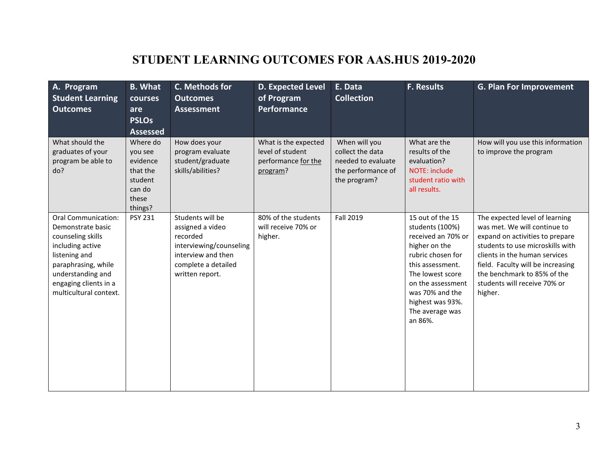# **STUDENT LEARNING OUTCOMES FOR AAS.HUS 2019-2020**

| A. Program<br><b>Student Learning</b><br><b>Outcomes</b>                                                                                                                                                 | <b>B.</b> What<br>courses<br>are                                                     | C. Methods for<br><b>Outcomes</b><br><b>Assessment</b>                                                                                      | <b>D. Expected Level</b><br>of Program<br><b>Performance</b>                | E. Data<br><b>Collection</b>                                                                  | <b>F. Results</b>                                                                                                                                                                                                                 | <b>G. Plan For Improvement</b>                                                                                                                                                                                                                                                        |
|----------------------------------------------------------------------------------------------------------------------------------------------------------------------------------------------------------|--------------------------------------------------------------------------------------|---------------------------------------------------------------------------------------------------------------------------------------------|-----------------------------------------------------------------------------|-----------------------------------------------------------------------------------------------|-----------------------------------------------------------------------------------------------------------------------------------------------------------------------------------------------------------------------------------|---------------------------------------------------------------------------------------------------------------------------------------------------------------------------------------------------------------------------------------------------------------------------------------|
|                                                                                                                                                                                                          | <b>PSLOs</b><br><b>Assessed</b>                                                      |                                                                                                                                             |                                                                             |                                                                                               |                                                                                                                                                                                                                                   |                                                                                                                                                                                                                                                                                       |
| What should the<br>graduates of your<br>program be able to<br>do?                                                                                                                                        | Where do<br>you see<br>evidence<br>that the<br>student<br>can do<br>these<br>things? | How does your<br>program evaluate<br>student/graduate<br>skills/abilities?                                                                  | What is the expected<br>level of student<br>performance for the<br>program? | When will you<br>collect the data<br>needed to evaluate<br>the performance of<br>the program? | What are the<br>results of the<br>evaluation?<br><b>NOTE: include</b><br>student ratio with<br>all results.                                                                                                                       | How will you use this information<br>to improve the program                                                                                                                                                                                                                           |
| <b>Oral Communication:</b><br>Demonstrate basic<br>counseling skills<br>including active<br>listening and<br>paraphrasing, while<br>understanding and<br>engaging clients in a<br>multicultural context. | <b>PSY 231</b>                                                                       | Students will be<br>assigned a video<br>recorded<br>interviewing/counseling<br>interview and then<br>complete a detailed<br>written report. | 80% of the students<br>will receive 70% or<br>higher.                       | Fall 2019                                                                                     | 15 out of the 15<br>students (100%)<br>received an 70% or<br>higher on the<br>rubric chosen for<br>this assessment.<br>The lowest score<br>on the assessment<br>was 70% and the<br>highest was 93%.<br>The average was<br>an 86%. | The expected level of learning<br>was met. We will continue to<br>expand on activities to prepare<br>students to use microskills with<br>clients in the human services<br>field. Faculty will be increasing<br>the benchmark to 85% of the<br>students will receive 70% or<br>higher. |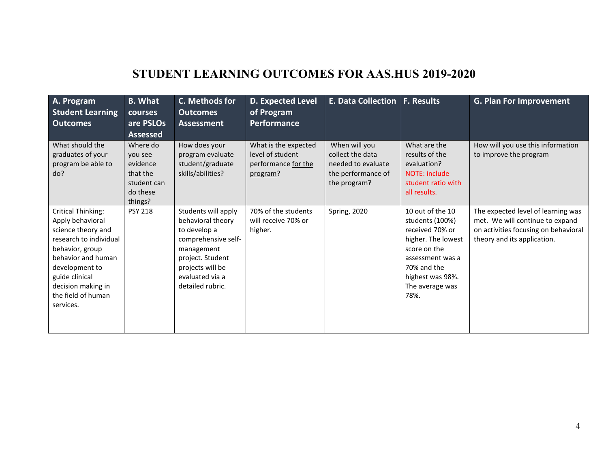# **STUDENT LEARNING OUTCOMES FOR AAS.HUS 2019-2020**

| A. Program<br><b>Student Learning</b><br><b>Outcomes</b>                                                                                                                                                                            | <b>B. What</b><br>courses<br>are PSLOs<br><b>Assessed</b>                         | C. Methods for<br><b>Outcomes</b><br>Assessment                                                                                                                              | <b>D. Expected Level</b><br>of Program<br><b>Performance</b>                | <b>E. Data Collection F. Results</b>                                                          |                                                                                                                                                                                | <b>G. Plan For Improvement</b>                                                                                                               |
|-------------------------------------------------------------------------------------------------------------------------------------------------------------------------------------------------------------------------------------|-----------------------------------------------------------------------------------|------------------------------------------------------------------------------------------------------------------------------------------------------------------------------|-----------------------------------------------------------------------------|-----------------------------------------------------------------------------------------------|--------------------------------------------------------------------------------------------------------------------------------------------------------------------------------|----------------------------------------------------------------------------------------------------------------------------------------------|
| What should the<br>graduates of your<br>program be able to<br>do?                                                                                                                                                                   | Where do<br>you see<br>evidence<br>that the<br>student can<br>do these<br>things? | How does your<br>program evaluate<br>student/graduate<br>skills/abilities?                                                                                                   | What is the expected<br>level of student<br>performance for the<br>program? | When will you<br>collect the data<br>needed to evaluate<br>the performance of<br>the program? | What are the<br>results of the<br>evaluation?<br>NOTE: include<br>student ratio with<br>all results.                                                                           | How will you use this information<br>to improve the program                                                                                  |
| <b>Critical Thinking:</b><br>Apply behavioral<br>science theory and<br>research to individual<br>behavior, group<br>behavior and human<br>development to<br>guide clinical<br>decision making in<br>the field of human<br>services. | <b>PSY 218</b>                                                                    | Students will apply<br>behavioral theory<br>to develop a<br>comprehensive self-<br>management<br>project. Student<br>projects will be<br>evaluated via a<br>detailed rubric. | 70% of the students<br>will receive 70% or<br>higher.                       | <b>Spring, 2020</b>                                                                           | 10 out of the 10<br>students (100%)<br>received 70% or<br>higher. The lowest<br>score on the<br>assessment was a<br>70% and the<br>highest was 98%.<br>The average was<br>78%. | The expected level of learning was<br>met. We will continue to expand<br>on activities focusing on behavioral<br>theory and its application. |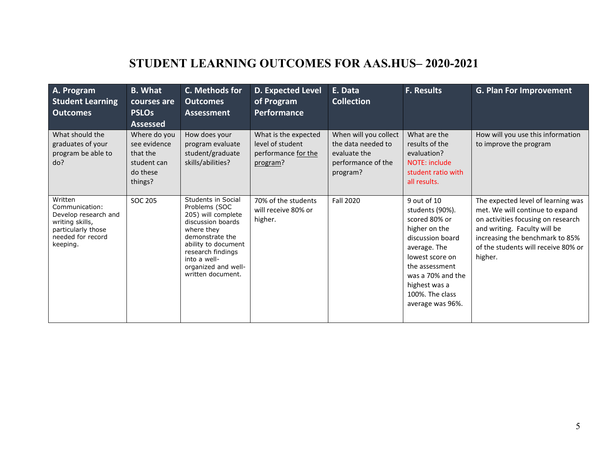# **STUDENT LEARNING OUTCOMES FOR AAS.HUS– 2020-2021**

| A. Program<br><b>Student Learning</b><br><b>Outcomes</b>                                                                    | <b>B.</b> What<br>courses are<br><b>PSLOs</b><br><b>Assessed</b>               | C. Methods for<br><b>Outcomes</b><br>Assessment                                                                                                                                                                         | <b>D. Expected Level</b><br>of Program<br><b>Performance</b>                | E. Data<br><b>Collection</b>                                                                  | <b>F. Results</b>                                                                                                                                                                                                      | <b>G. Plan For Improvement</b>                                                                                                                                                                                                   |
|-----------------------------------------------------------------------------------------------------------------------------|--------------------------------------------------------------------------------|-------------------------------------------------------------------------------------------------------------------------------------------------------------------------------------------------------------------------|-----------------------------------------------------------------------------|-----------------------------------------------------------------------------------------------|------------------------------------------------------------------------------------------------------------------------------------------------------------------------------------------------------------------------|----------------------------------------------------------------------------------------------------------------------------------------------------------------------------------------------------------------------------------|
| What should the<br>graduates of your<br>program be able to<br>do?                                                           | Where do you<br>see evidence<br>that the<br>student can<br>do these<br>things? | How does your<br>program evaluate<br>student/graduate<br>skills/abilities?                                                                                                                                              | What is the expected<br>level of student<br>performance for the<br>program? | When will you collect<br>the data needed to<br>evaluate the<br>performance of the<br>program? | What are the<br>results of the<br>evaluation?<br><b>NOTE: include</b><br>student ratio with<br>all results.                                                                                                            | How will you use this information<br>to improve the program                                                                                                                                                                      |
| Written<br>Communication:<br>Develop research and<br>writing skills,<br>particularly those<br>needed for record<br>keeping. | SOC 205                                                                        | Students in Social<br>Problems (SOC<br>205) will complete<br>discussion boards<br>where they<br>demonstrate the<br>ability to document<br>research findings<br>into a well-<br>organized and well-<br>written document. | 70% of the students<br>will receive 80% or<br>higher.                       | <b>Fall 2020</b>                                                                              | 9 out of 10<br>students (90%).<br>scored 80% or<br>higher on the<br>discussion board<br>average. The<br>lowest score on<br>the assessment<br>was a 70% and the<br>highest was a<br>100%. The class<br>average was 96%. | The expected level of learning was<br>met. We will continue to expand<br>on activities focusing on research<br>and writing. Faculty will be<br>increasing the benchmark to 85%<br>of the students will receive 80% or<br>higher. |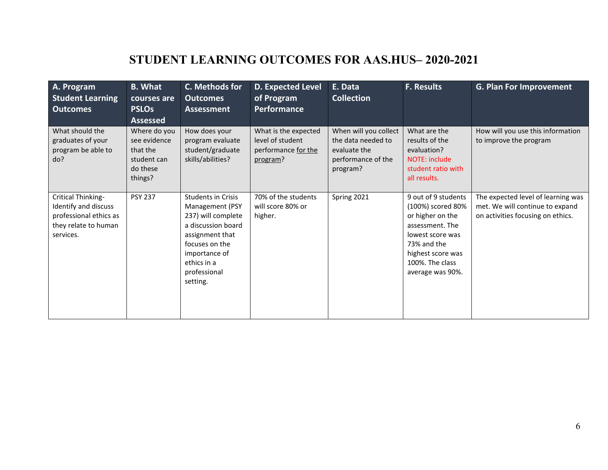# **STUDENT LEARNING OUTCOMES FOR AAS.HUS– 2020-2021**

| A. Program<br><b>Student Learning</b><br><b>Outcomes</b>                                                  | <b>B.</b> What<br>courses are<br><b>PSLOs</b><br><b>Assessed</b>               | C. Methods for<br><b>Outcomes</b><br><b>Assessment</b>                                                                                                                             | D. Expected Level<br>of Program<br>Performance                              | E. Data<br><b>Collection</b>                                                                  | <b>F. Results</b>                                                                                                                                                              | <b>G. Plan For Improvement</b>                                                                             |
|-----------------------------------------------------------------------------------------------------------|--------------------------------------------------------------------------------|------------------------------------------------------------------------------------------------------------------------------------------------------------------------------------|-----------------------------------------------------------------------------|-----------------------------------------------------------------------------------------------|--------------------------------------------------------------------------------------------------------------------------------------------------------------------------------|------------------------------------------------------------------------------------------------------------|
| What should the<br>graduates of your<br>program be able to<br>do?                                         | Where do you<br>see evidence<br>that the<br>student can<br>do these<br>things? | How does your<br>program evaluate<br>student/graduate<br>skills/abilities?                                                                                                         | What is the expected<br>level of student<br>performance for the<br>program? | When will you collect<br>the data needed to<br>evaluate the<br>performance of the<br>program? | What are the<br>results of the<br>evaluation?<br><b>NOTE: include</b><br>student ratio with<br>all results.                                                                    | How will you use this information<br>to improve the program                                                |
| Critical Thinking-<br>Identify and discuss<br>professional ethics as<br>they relate to human<br>services. | <b>PSY 237</b>                                                                 | Students in Crisis<br>Management (PSY<br>237) will complete<br>a discussion board<br>assignment that<br>focuses on the<br>importance of<br>ethics in a<br>professional<br>setting. | 70% of the students<br>will score 80% or<br>higher.                         | Spring 2021                                                                                   | 9 out of 9 students<br>(100%) scored 80%<br>or higher on the<br>assessment. The<br>lowest score was<br>73% and the<br>highest score was<br>100%. The class<br>average was 90%. | The expected level of learning was<br>met. We will continue to expand<br>on activities focusing on ethics. |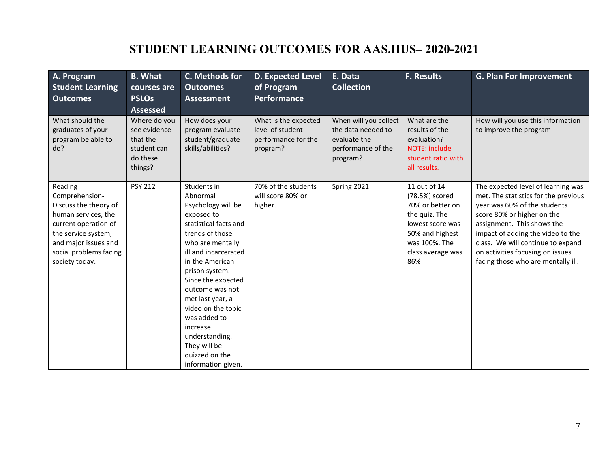# **STUDENT LEARNING OUTCOMES FOR AAS.HUS– 2020-2021**

| A. Program<br><b>Student Learning</b><br><b>Outcomes</b>                                                                                                                                     | <b>B.</b> What<br>courses are<br><b>PSLOs</b><br><b>Assessed</b>               | C. Methods for<br><b>Outcomes</b><br><b>Assessment</b>                                                                                                                                                                                                                                                                                                                            | D. Expected Level<br>of Program<br>Performance                              | E. Data<br><b>Collection</b>                                                                  | <b>F. Results</b>                                                                                                                                       | <b>G. Plan For Improvement</b>                                                                                                                                                                                                                                                                                             |
|----------------------------------------------------------------------------------------------------------------------------------------------------------------------------------------------|--------------------------------------------------------------------------------|-----------------------------------------------------------------------------------------------------------------------------------------------------------------------------------------------------------------------------------------------------------------------------------------------------------------------------------------------------------------------------------|-----------------------------------------------------------------------------|-----------------------------------------------------------------------------------------------|---------------------------------------------------------------------------------------------------------------------------------------------------------|----------------------------------------------------------------------------------------------------------------------------------------------------------------------------------------------------------------------------------------------------------------------------------------------------------------------------|
| What should the<br>graduates of your<br>program be able to<br>do?                                                                                                                            | Where do you<br>see evidence<br>that the<br>student can<br>do these<br>things? | How does your<br>program evaluate<br>student/graduate<br>skills/abilities?                                                                                                                                                                                                                                                                                                        | What is the expected<br>level of student<br>performance for the<br>program? | When will you collect<br>the data needed to<br>evaluate the<br>performance of the<br>program? | What are the<br>results of the<br>evaluation?<br>NOTE: include<br>student ratio with<br>all results.                                                    | How will you use this information<br>to improve the program                                                                                                                                                                                                                                                                |
| Reading<br>Comprehension-<br>Discuss the theory of<br>human services, the<br>current operation of<br>the service system,<br>and major issues and<br>social problems facing<br>society today. | <b>PSY 212</b>                                                                 | Students in<br>Abnormal<br>Psychology will be<br>exposed to<br>statistical facts and<br>trends of those<br>who are mentally<br>ill and incarcerated<br>in the American<br>prison system.<br>Since the expected<br>outcome was not<br>met last year, a<br>video on the topic<br>was added to<br>increase<br>understanding.<br>They will be<br>quizzed on the<br>information given. | 70% of the students<br>will score 80% or<br>higher.                         | Spring 2021                                                                                   | 11 out of 14<br>(78.5%) scored<br>70% or better on<br>the quiz. The<br>lowest score was<br>50% and highest<br>was 100%. The<br>class average was<br>86% | The expected level of learning was<br>met. The statistics for the previous<br>year was 60% of the students<br>score 80% or higher on the<br>assignment. This shows the<br>impact of adding the video to the<br>class. We will continue to expand<br>on activities focusing on issues<br>facing those who are mentally ill. |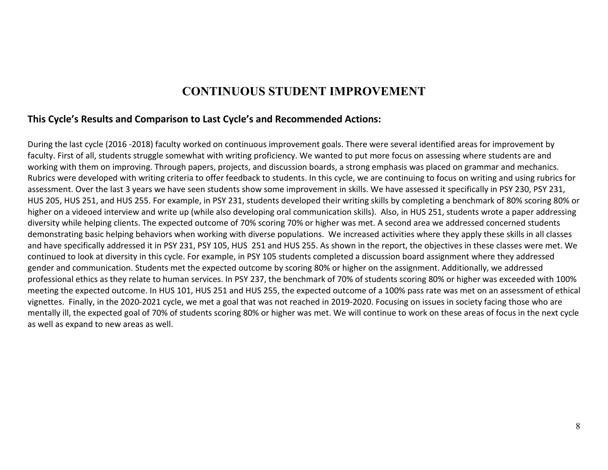### **CONTINUOUS STUDENT IMPROVEMENT**

#### **This Cycle's Results and Comparison to Last Cycle's and Recommended Actions:**

During the last cycle (2016 -2018) faculty worked on continuous improvement goals. There were several identified areas for improvement by faculty. First of all, students struggle somewhat with writing proficiency. We wanted to put more focus on assessing where students are and working with them on improving. Through papers, projects, and discussion boards, a strong emphasis was placed on grammar and mechanics. Rubrics were developed with writing criteria to offer feedback to students. In this cycle, we are continuing to focus on writing and using rubrics for assessment. Over the last 3 years we have seen students show some improvement in skills. We have assessed it specifically in PSY 230, PSY 231, HUS 205, HUS 251, and HUS 255. For example, in PSY 231, students developed their writing skills by completing a benchmark of 80% scoring 80% or higher on a videoed interview and write up (while also developing oral communication skills). Also, in HUS 251, students wrote a paper addressing diversity while helping clients. The expected outcome of 70% scoring 70% or higher was met. A second area we addressed concerned students demonstrating basic helping behaviors when working with diverse populations. We increased activities where they apply these skills in all classes and have specifically addressed it in PSY 231, PSY 105, HUS 251 and HUS 255. As shown in the report, the objectives in these classes were met. We continued to look at diversity in this cycle. For example, in PSY 105 students completed a discussion board assignment where they addressed gender and communication. Students met the expected outcome by scoring 80% or higher on the assignment. Additionally, we addressed professional ethics as they relate to human services. In PSY 237, the benchmark of 70% of students scoring 80% or higher was exceeded with 100% meeting the expected outcome. In HUS 101, HUS 251 and HUS 255, the expected outcome of a 100% pass rate was met on an assessment of ethical vignettes. Finally, in the 2020-2021 cycle, we met a goal that was not reached in 2019-2020. Focusing on issues in society facing those who are mentally ill, the expected goal of 70% of students scoring 80% or higher was met. We will continue to work on these areas of focus in the next cycle as well as expand to new areas as well.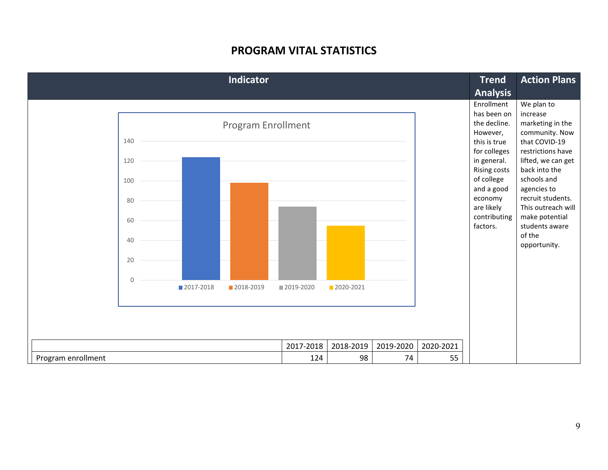### **PROGRAM VITAL STATISTICS**

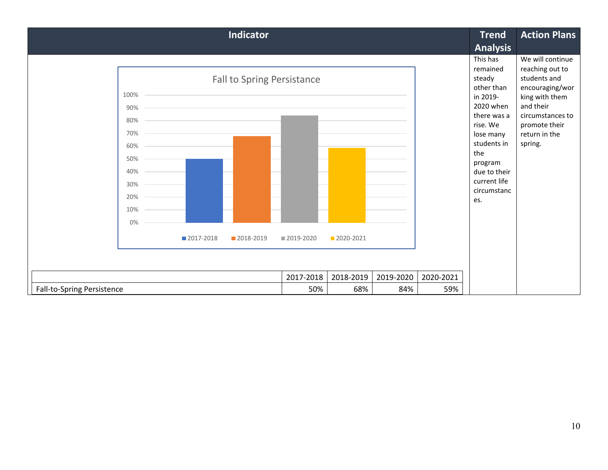| <b>Indicator</b>                                                                                                                    | <b>Trend</b> | <b>Action Plans</b> |           |           |                                                                                                                                                                                                      |                                                                                                                                                                        |
|-------------------------------------------------------------------------------------------------------------------------------------|--------------|---------------------|-----------|-----------|------------------------------------------------------------------------------------------------------------------------------------------------------------------------------------------------------|------------------------------------------------------------------------------------------------------------------------------------------------------------------------|
|                                                                                                                                     |              |                     |           |           | <b>Analysis</b>                                                                                                                                                                                      |                                                                                                                                                                        |
| Fall to Spring Persistance<br>100%<br>90%<br>80%<br>70%<br>60%<br>50%<br>40%<br>30%<br>20%<br>10%<br>0%<br>■ 2017-2018<br>2018-2019 | ■ 2019-2020  | 2020-2021           |           |           | This has<br>remained<br>steady<br>other than<br>in 2019-<br>2020 when<br>there was a<br>rise. We<br>lose many<br>students in<br>the<br>program<br>due to their<br>current life<br>circumstanc<br>es. | We will continue<br>reaching out to<br>students and<br>encouraging/wor<br>king with them<br>and their<br>circumstances to<br>promote their<br>return in the<br>spring. |
|                                                                                                                                     | 2017-2018    | 2018-2019           | 2019-2020 | 2020-2021 |                                                                                                                                                                                                      |                                                                                                                                                                        |
| <b>Fall-to-Spring Persistence</b>                                                                                                   | 50%          | 68%                 | 84%       | 59%       |                                                                                                                                                                                                      |                                                                                                                                                                        |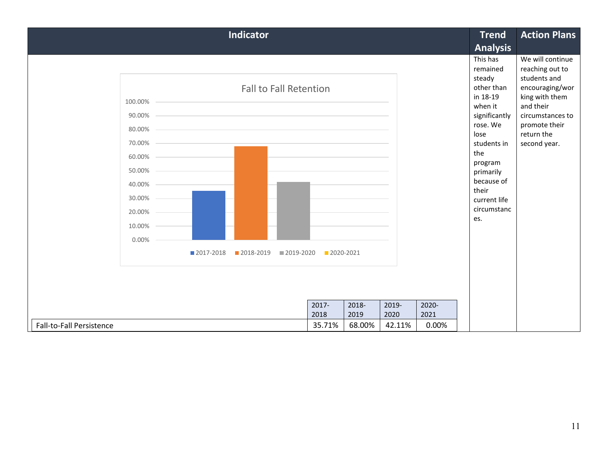|                                                                     | <b>Trend</b>                  | <b>Action Plans</b>     |                         |                         |                        |                                                                                                                                                                               |                                                                                                                                                                          |
|---------------------------------------------------------------------|-------------------------------|-------------------------|-------------------------|-------------------------|------------------------|-------------------------------------------------------------------------------------------------------------------------------------------------------------------------------|--------------------------------------------------------------------------------------------------------------------------------------------------------------------------|
|                                                                     |                               |                         |                         |                         |                        | <b>Analysis</b>                                                                                                                                                               |                                                                                                                                                                          |
| 100.00%<br>90.00%<br>80.00%<br>70.00%<br>60.00%<br>50.00%<br>40.00% | <b>Fall to Fall Retention</b> |                         |                         |                         |                        | This has<br>remained<br>steady<br>other than<br>in 18-19<br>when it<br>significantly<br>rose. We<br>lose<br>students in<br>the<br>program<br>primarily<br>because of<br>their | We will continue<br>reaching out to<br>students and<br>encouraging/wor<br>king with them<br>and their<br>circumstances to<br>promote their<br>return the<br>second year. |
| 30.00%                                                              |                               |                         |                         |                         |                        | current life<br>circumstanc                                                                                                                                                   |                                                                                                                                                                          |
| 20.00%                                                              |                               |                         |                         |                         |                        | es.                                                                                                                                                                           |                                                                                                                                                                          |
| 10.00%                                                              |                               |                         |                         |                         |                        |                                                                                                                                                                               |                                                                                                                                                                          |
| 0.00%                                                               |                               |                         |                         |                         |                        |                                                                                                                                                                               |                                                                                                                                                                          |
| 2017-2018                                                           | 2018-2019<br>2019-2020        | 2020-2021               |                         |                         |                        |                                                                                                                                                                               |                                                                                                                                                                          |
|                                                                     |                               |                         |                         |                         |                        |                                                                                                                                                                               |                                                                                                                                                                          |
| Fall-to-Fall Persistence                                            |                               | 2017-<br>2018<br>35.71% | 2018-<br>2019<br>68.00% | 2019-<br>2020<br>42.11% | 2020-<br>2021<br>0.00% |                                                                                                                                                                               |                                                                                                                                                                          |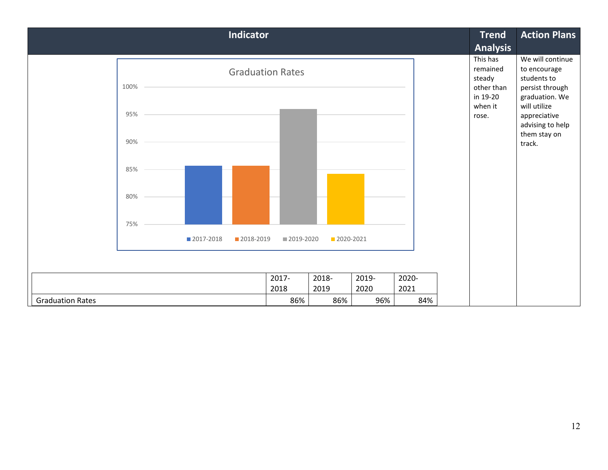